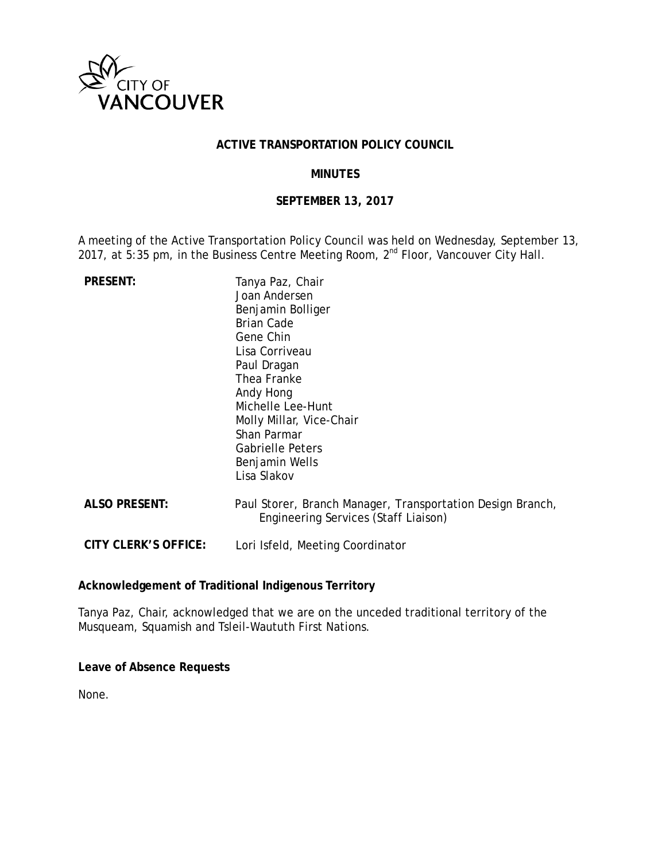

### **ACTIVE TRANSPORTATION POLICY COUNCIL**

### **MINUTES**

### **SEPTEMBER 13, 2017**

A meeting of the Active Transportation Policy Council was held on Wednesday, September 13, 2017, at  $5:35$  pm, in the Business Centre Meeting Room,  $2^{nd}$  Floor, Vancouver City Hall.

| <b>PRESENT:</b>             | Tanya Paz, Chair<br>Joan Andersen<br>Benjamin Bolliger<br><b>Brian Cade</b><br>Gene Chin<br>Lisa Corriveau<br>Paul Dragan<br>Thea Franke<br>Andy Hong<br>Michelle Lee-Hunt<br>Molly Millar, Vice-Chair<br>Shan Parmar<br><b>Gabrielle Peters</b><br>Benjamin Wells<br>Lisa Slakov |
|-----------------------------|-----------------------------------------------------------------------------------------------------------------------------------------------------------------------------------------------------------------------------------------------------------------------------------|
| <b>ALSO PRESENT:</b>        | Paul Storer, Branch Manager, Transportation Design Branch,<br>Engineering Services (Staff Liaison)                                                                                                                                                                                |
| <b>CITY CLERK'S OFFICE:</b> | Lori Isfeld, Meeting Coordinator                                                                                                                                                                                                                                                  |

#### **Acknowledgement of Traditional Indigenous Territory**

Tanya Paz, Chair, acknowledged that we are on the unceded traditional territory of the Musqueam, Squamish and Tsleil-Waututh First Nations.

**Leave of Absence Requests**

None.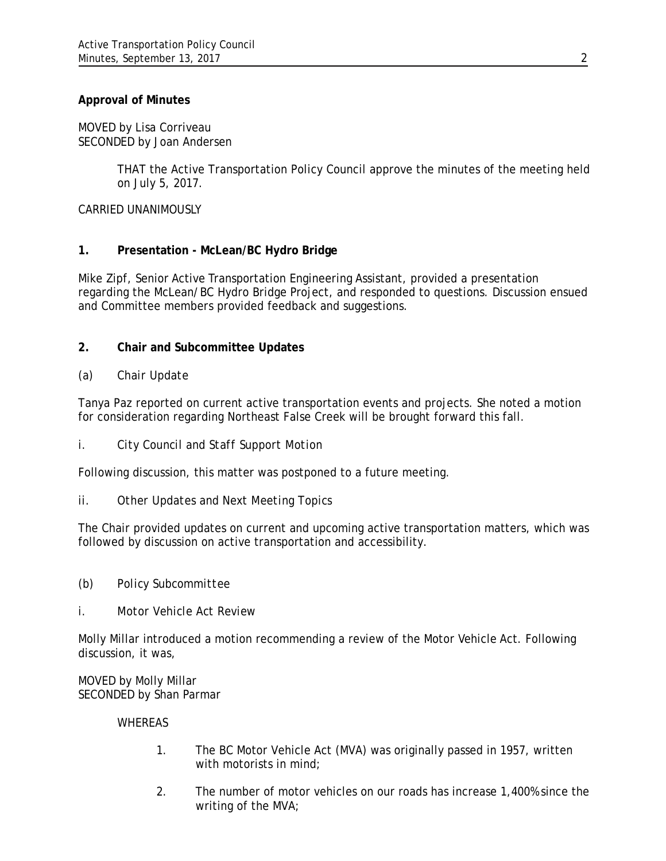### **Approval of Minutes**

MOVED by Lisa Corriveau SECONDED by Joan Andersen

> THAT the Active Transportation Policy Council approve the minutes of the meeting held on July 5, 2017.

CARRIED UNANIMOUSLY

### **1. Presentation - McLean/BC Hydro Bridge**

Mike Zipf, Senior Active Transportation Engineering Assistant, provided a presentation regarding the McLean/BC Hydro Bridge Project, and responded to questions. Discussion ensued and Committee members provided feedback and suggestions.

## **2. Chair and Subcommittee Updates**

### *(a) Chair Update*

Tanya Paz reported on current active transportation events and projects. She noted a motion for consideration regarding Northeast False Creek will be brought forward this fall.

*i. City Council and Staff Support Motion*

Following discussion, this matter was postponed to a future meeting.

*ii. Other Updates and Next Meeting Topics*

The Chair provided updates on current and upcoming active transportation matters, which was followed by discussion on active transportation and accessibility.

- *(b) Policy Subcommittee*
- *i. Motor Vehicle Act Review*

Molly Millar introduced a motion recommending a review of the Motor Vehicle Act. Following discussion, it was,

MOVED by Molly Millar SECONDED by Shan Parmar

#### WHEREAS

- 1. The BC Motor Vehicle Act (MVA) was originally passed in 1957, written with motorists in mind;
- 2. The number of motor vehicles on our roads has increase 1,400% since the writing of the MVA;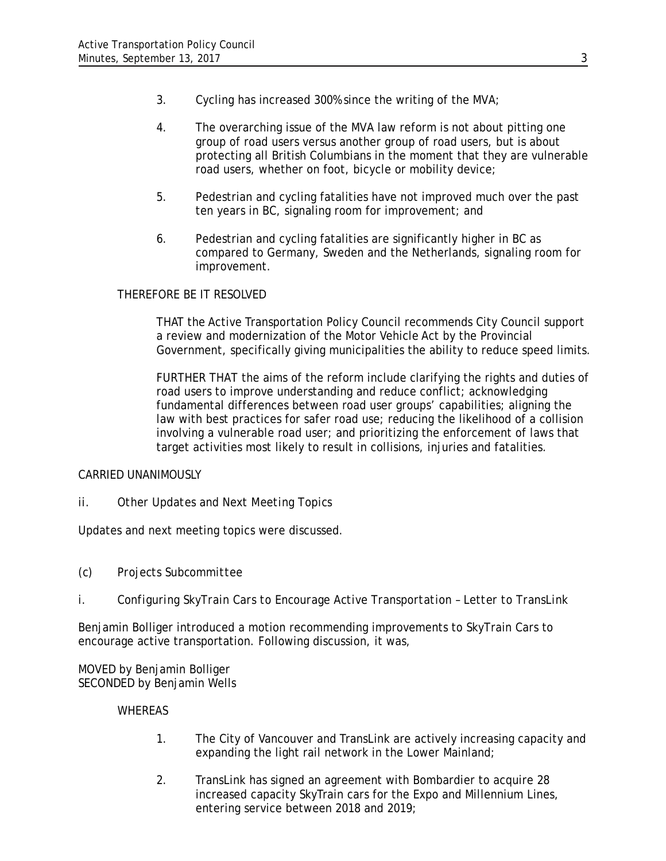- 3. Cycling has increased 300% since the writing of the MVA;
- 4. The overarching issue of the MVA law reform is not about pitting one group of road users versus another group of road users, but is about protecting all British Columbians in the moment that they are vulnerable road users, whether on foot, bicycle or mobility device;
- 5. Pedestrian and cycling fatalities have not improved much over the past ten years in BC, signaling room for improvement; and
- 6. Pedestrian and cycling fatalities are significantly higher in BC as compared to Germany, Sweden and the Netherlands, signaling room for improvement.

### THEREFORE BE IT RESOLVED

THAT the Active Transportation Policy Council recommends City Council support a review and modernization of the Motor Vehicle Act by the Provincial Government, specifically giving municipalities the ability to reduce speed limits.

FURTHER THAT the aims of the reform include clarifying the rights and duties of road users to improve understanding and reduce conflict; acknowledging fundamental differences between road user groups' capabilities; aligning the law with best practices for safer road use; reducing the likelihood of a collision involving a vulnerable road user; and prioritizing the enforcement of laws that target activities most likely to result in collisions, injuries and fatalities.

### CARRIED UNANIMOUSLY

*ii. Other Updates and Next Meeting Topics*

Updates and next meeting topics were discussed.

- *(c) Projects Subcommittee*
- *i. Configuring SkyTrain Cars to Encourage Active Transportation Letter to TransLink*

Benjamin Bolliger introduced a motion recommending improvements to SkyTrain Cars to encourage active transportation. Following discussion, it was,

MOVED by Benjamin Bolliger SECONDED by Benjamin Wells

#### WHEREAS

- 1. The City of Vancouver and TransLink are actively increasing capacity and expanding the light rail network in the Lower Mainland;
- 2. TransLink has signed an agreement with Bombardier to acquire 28 increased capacity SkyTrain cars for the Expo and Millennium Lines, entering service between 2018 and 2019;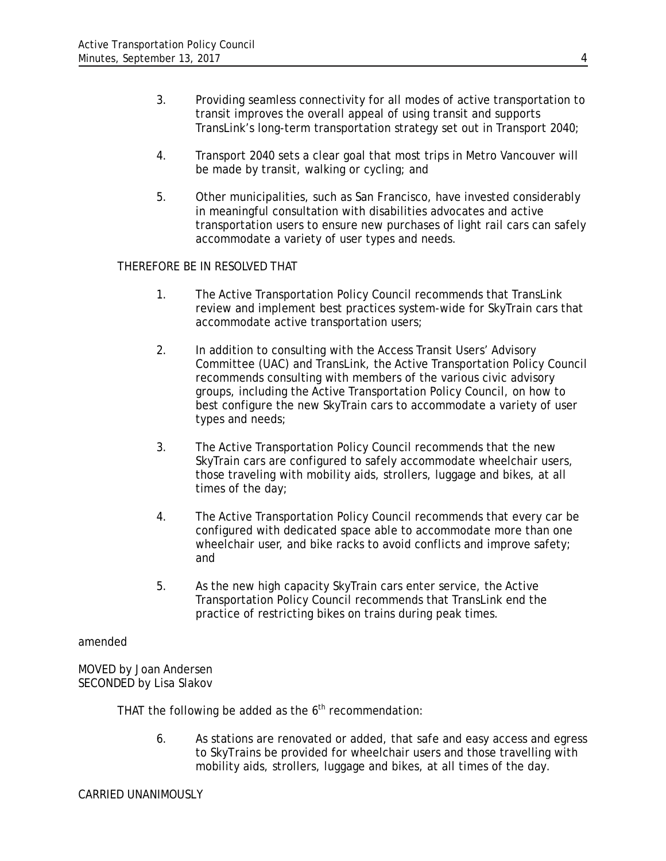- 3. Providing seamless connectivity for all modes of active transportation to transit improves the overall appeal of using transit and supports TransLink's long-term transportation strategy set out in Transport 2040;
- 4. Transport 2040 sets a clear goal that most trips in Metro Vancouver will be made by transit, walking or cycling; and
- 5. Other municipalities, such as San Francisco, have invested considerably in meaningful consultation with disabilities advocates and active transportation users to ensure new purchases of light rail cars can safely accommodate a variety of user types and needs.

### THEREFORE BE IN RESOLVED THAT

- 1. The Active Transportation Policy Council recommends that TransLink review and implement best practices system-wide for SkyTrain cars that accommodate active transportation users;
- 2. In addition to consulting with the Access Transit Users' Advisory Committee (UAC) and TransLink, the Active Transportation Policy Council recommends consulting with members of the various civic advisory groups, including the Active Transportation Policy Council, on how to best configure the new SkyTrain cars to accommodate a variety of user types and needs;
- 3. The Active Transportation Policy Council recommends that the new SkyTrain cars are configured to safely accommodate wheelchair users, those traveling with mobility aids, strollers, luggage and bikes, at all times of the day;
- 4. The Active Transportation Policy Council recommends that every car be configured with dedicated space able to accommodate more than one wheelchair user, and bike racks to avoid conflicts and improve safety; and
- 5. As the new high capacity SkyTrain cars enter service, the Active Transportation Policy Council recommends that TransLink end the practice of restricting bikes on trains during peak times.

#### amended

MOVED by Joan Andersen SECONDED by Lisa Slakov

THAT the following be added as the  $6<sup>th</sup>$  recommendation:

6. As stations are renovated or added, that safe and easy access and egress to SkyTrains be provided for wheelchair users and those travelling with mobility aids, strollers, luggage and bikes, at all times of the day.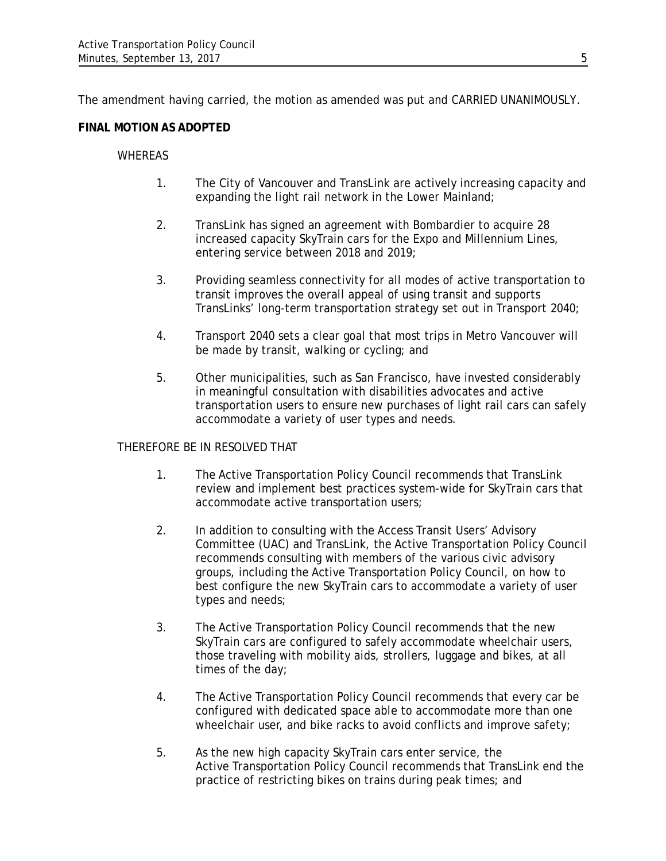The amendment having carried, the motion as amended was put and CARRIED UNANIMOUSLY.

## **FINAL MOTION AS ADOPTED**

### WHEREAS

- 1. The City of Vancouver and TransLink are actively increasing capacity and expanding the light rail network in the Lower Mainland;
- 2. TransLink has signed an agreement with Bombardier to acquire 28 increased capacity SkyTrain cars for the Expo and Millennium Lines, entering service between 2018 and 2019;
- 3. Providing seamless connectivity for all modes of active transportation to transit improves the overall appeal of using transit and supports TransLinks' long-term transportation strategy set out in Transport 2040;
- 4. Transport 2040 sets a clear goal that most trips in Metro Vancouver will be made by transit, walking or cycling; and
- 5. Other municipalities, such as San Francisco, have invested considerably in meaningful consultation with disabilities advocates and active transportation users to ensure new purchases of light rail cars can safely accommodate a variety of user types and needs.

### THEREFORE BE IN RESOLVED THAT

- 1. The Active Transportation Policy Council recommends that TransLink review and implement best practices system-wide for SkyTrain cars that accommodate active transportation users;
- 2. In addition to consulting with the Access Transit Users' Advisory Committee (UAC) and TransLink, the Active Transportation Policy Council recommends consulting with members of the various civic advisory groups, including the Active Transportation Policy Council, on how to best configure the new SkyTrain cars to accommodate a variety of user types and needs;
- 3. The Active Transportation Policy Council recommends that the new SkyTrain cars are configured to safely accommodate wheelchair users, those traveling with mobility aids, strollers, luggage and bikes, at all times of the day;
- 4. The Active Transportation Policy Council recommends that every car be configured with dedicated space able to accommodate more than one wheelchair user, and bike racks to avoid conflicts and improve safety;
- 5. As the new high capacity SkyTrain cars enter service, the Active Transportation Policy Council recommends that TransLink end the practice of restricting bikes on trains during peak times; and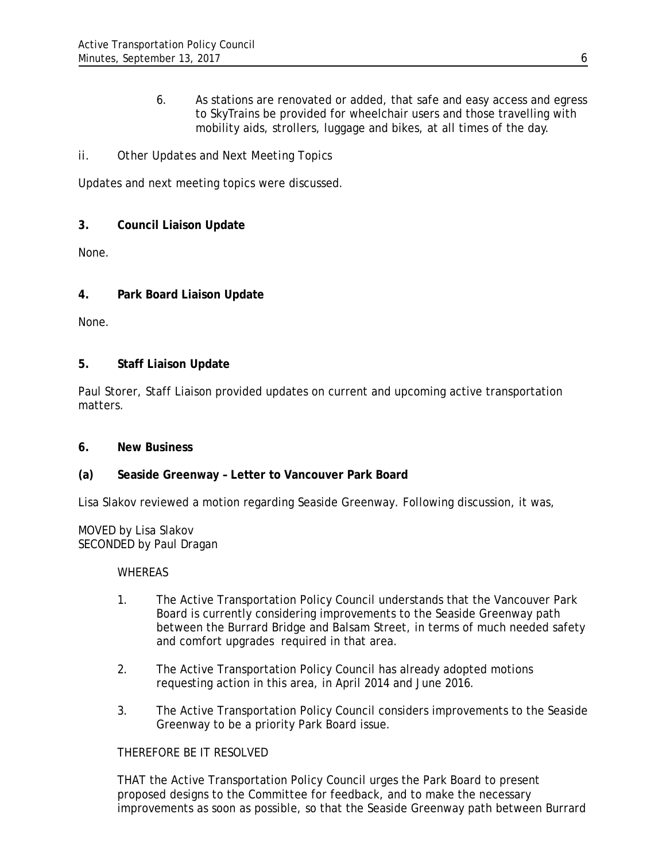6. As stations are renovated or added, that safe and easy access and egress to SkyTrains be provided for wheelchair users and those travelling with mobility aids, strollers, luggage and bikes, at all times of the day.

# *ii. Other Updates and Next Meeting Topics*

Updates and next meeting topics were discussed.

# **3. Council Liaison Update**

None.

# **4. Park Board Liaison Update**

None.

## **5. Staff Liaison Update**

Paul Storer, Staff Liaison provided updates on current and upcoming active transportation matters.

## **6. New Business**

## **(a) Seaside Greenway – Letter to Vancouver Park Board**

Lisa Slakov reviewed a motion regarding Seaside Greenway. Following discussion, it was,

MOVED by Lisa Slakov SECONDED by Paul Dragan

### **WHEREAS**

- 1. The Active Transportation Policy Council understands that the Vancouver Park Board is currently considering improvements to the Seaside Greenway path between the Burrard Bridge and Balsam Street, in terms of much needed safety and comfort upgrades required in that area.
- 2. The Active Transportation Policy Council has already adopted motions requesting action in this area, in April 2014 and June 2016.
- 3. The Active Transportation Policy Council considers improvements to the Seaside Greenway to be a priority Park Board issue.

## THEREFORE BE IT RESOLVED

THAT the Active Transportation Policy Council urges the Park Board to present proposed designs to the Committee for feedback, and to make the necessary improvements as soon as possible, so that the Seaside Greenway path between Burrard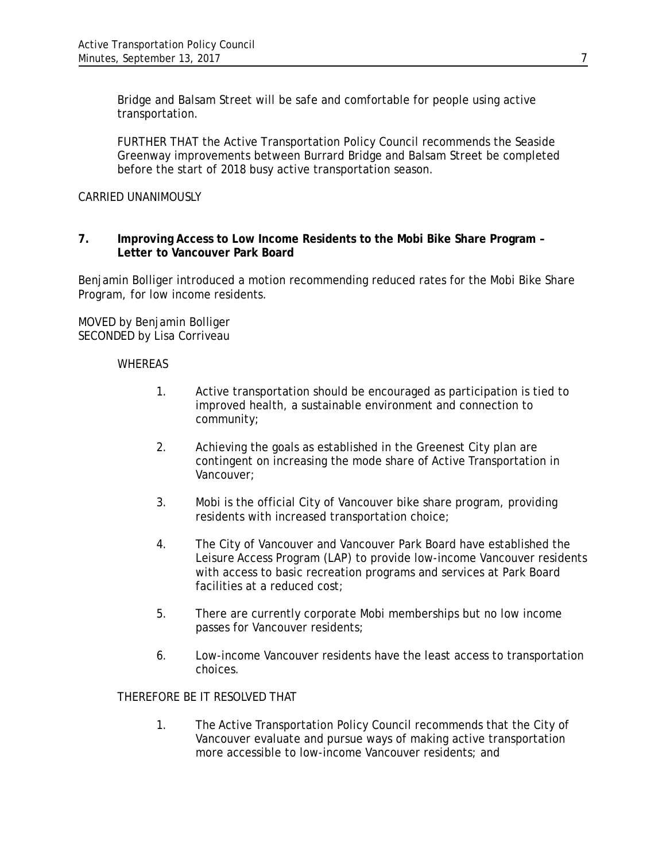Bridge and Balsam Street will be safe and comfortable for people using active transportation.

FURTHER THAT the Active Transportation Policy Council recommends the Seaside Greenway improvements between Burrard Bridge and Balsam Street be completed before the start of 2018 busy active transportation season.

#### CARRIED UNANIMOUSLY

#### **7. Improving Access to Low Income Residents to the Mobi Bike Share Program – Letter to Vancouver Park Board**

Benjamin Bolliger introduced a motion recommending reduced rates for the Mobi Bike Share Program, for low income residents.

MOVED by Benjamin Bolliger SECONDED by Lisa Corriveau

#### **WHEREAS**

- 1. Active transportation should be encouraged as participation is tied to improved health, a sustainable environment and connection to community;
- 2. Achieving the goals as established in the Greenest City plan are contingent on increasing the mode share of Active Transportation in Vancouver;
- 3. Mobi is the official City of Vancouver bike share program, providing residents with increased transportation choice;
- 4. The City of Vancouver and Vancouver Park Board have established the Leisure Access Program (LAP) to provide low-income Vancouver residents with access to basic recreation programs and services at Park Board facilities at a reduced cost;
- 5. There are currently corporate Mobi memberships but no low income passes for Vancouver residents;
- 6. Low-income Vancouver residents have the least access to transportation choices.

#### THEREFORE BE IT RESOLVED THAT

1. The Active Transportation Policy Council recommends that the City of Vancouver evaluate and pursue ways of making active transportation more accessible to low-income Vancouver residents; and